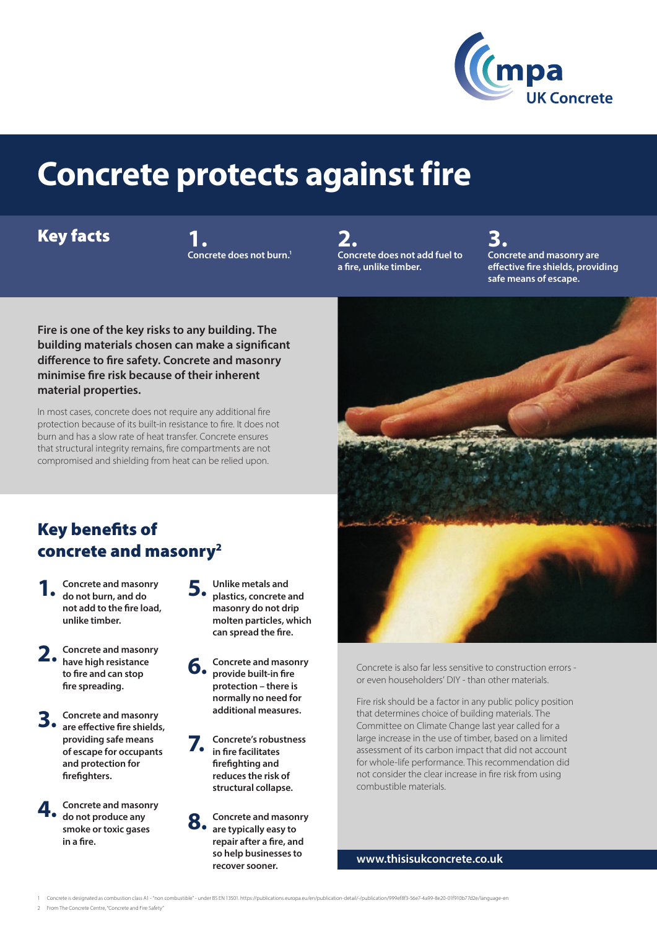

# **Concrete protects against fire**

#### Key facts

**1. Concrete does not burn.1**

**2. Concrete does not add fuel to a fire, unlike timber.**

**3. Concrete and masonry are effective fire shields, providing safe means of escape.** 

**Fire is one of the key risks to any building. The building materials chosen can make a significant difference to fire safety. Concrete and masonry minimise fire risk because of their inherent material properties.**

In most cases, concrete does not require any additional fire protection because of its built-in resistance to fire. It does not burn and has a slow rate of heat transfer. Concrete ensures that structural integrity remains, fire compartments are not compromised and shielding from heat can be relied upon.

#### Key benefits of concrete and masonry2

- **1. Concrete and masonry do not burn, and do not add to the fire load, unlike timber.**
- **2. Concrete and masonry have high resistance to fire and can stop fire spreading.**
- **3. Concrete and masonry are effective fire shields, providing safe means of escape for occupants and protection for firefighters.**
- **4. Concrete and masonry do not produce any smoke or toxic gases in a fire.**
- **5. Unlike metals and plastics, concrete and masonry do not drip molten particles, which can spread the fire.**
- **6. Concrete and masonry provide built-in fire protection – there is normally no need for additional measures.**

**7. Concrete's robustness in fire facilitates firefighting and reduces the risk of structural collapse.**

**8. Concrete and masonry are typically easy to repair after a fire, and so help businesses to recover sooner.**



Concrete is also far less sensitive to construction errors or even householders' DIY - than other materials.

Fire risk should be a factor in any public policy position that determines choice of building materials. The Committee on Climate Change last year called for a large increase in the use of timber, based on a limited assessment of its carbon impact that did not account for whole-life performance. This recommendation did not consider the clear increase in fire risk from using combustible materials.

**www.thisisukconcrete.co.uk**

1 Concrete is designated as combustion class A1 - "non combustible" - under BS EN 13501. https://publications.europa.eu/en/publication-detail/-/publication/999ef8f3-56e7-4a99-8e20-01f910b77d2e/language-en

2 From The Concrete Centre, "Concrete and Fire Safety"